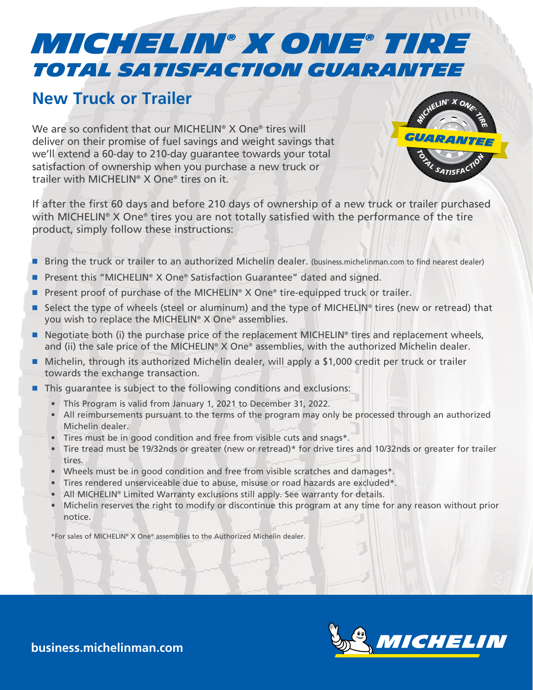## *Total Satisfaction Guarantee MICHELIN® x one® TIRE*

## **New Truck or Trailer**

We are so confident that our MICHELIN<sup>®</sup> X One<sup>®</sup> tires will deliver on their promise of fuel savings and weight savings that we'll extend a 60-day to 210-day guarantee towards your total satisfaction of ownership when you purchase a new truck or trailer with MICHELIN® X One® tires on it.



If after the first 60 days and before 210 days of ownership of a new truck or trailer purchased with MICHELIN® X One® tires you are not totally satisfied with the performance of the tire product, simply follow these instructions:

- Bring the truck or trailer to an authorized Michelin dealer. (business.michelinman.com to find nearest dealer)
- Present this "MICHELIN® X One® Satisfaction Guarantee" dated and signed.
- Present proof of purchase of the MICHELIN<sup>®</sup> X One® tire-equipped truck or trailer.
- Select the type of wheels (steel or aluminum) and the type of MICHELIN<sup>®</sup> tires (new or retread) that you wish to replace the MICHELIN® X One® assemblies.
- Negotiate both (i) the purchase price of the replacement MICHELIN<sup>®</sup> tires and replacement wheels, and (ii) the sale price of the MICHELIN<sup>®</sup> X One® assemblies, with the authorized Michelin dealer.
- Michelin, through its authorized Michelin dealer, will apply a \$1,000 credit per truck or trailer towards the exchange transaction.
- This guarantee is subject to the following conditions and exclusions:
	- This Program is valid from January 1, 2021 to December 31, 2022.
	- All reimbursements pursuant to the terms of the program may only be processed through an authorized Michelin dealer.
	- Tires must be in good condition and free from visible cuts and snags\*.
	- Tire tread must be 19/32nds or greater (new or retread)\* for drive tires and 10/32nds or greater for trailer tires.
	- Wheels must be in good condition and free from visible scratches and damages\*.
	- Tires rendered unserviceable due to abuse, misuse or road hazards are excluded\*.
	- All MICHELIN® Limited Warranty exclusions still apply. See warranty for details.
	- Michelin reserves the right to modify or discontinue this program at any time for any reason without prior notice.

\*For sales of MICHELIN® X One® assemblies to the Authorized Michelin dealer.



**business.michelinman.com**